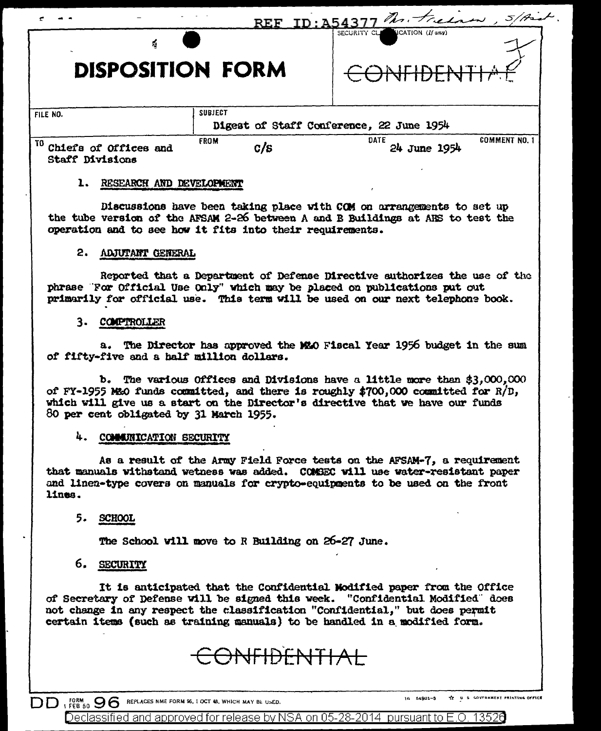| 4                                                      | $\mathbf{REF}$     | Mr. Freezew, 5/Arch<br>$ID: \Delta543$<br>ICATION (If any)<br>SECURITY CL |
|--------------------------------------------------------|--------------------|---------------------------------------------------------------------------|
| <b>DISPOSITION FORM</b>                                |                    |                                                                           |
| FILE NO.                                               | <b>SUBJECT</b>     | Digest of Staff Conference, 22 June 1954                                  |
| TO.<br>Chiefa of Offices and<br><b>Staff Divisions</b> | <b>FROM</b><br>c/s | <b>COMMENT NO.</b><br><b>DATE</b><br>24 June 1954                         |
| RESEARCH AND DEVELOPMENT<br>ı.                         |                    | Discussions have been taking place with COM on prreposements to set up    |

### 2. ADJUTANT GENERAL

Reported that a Department of Defense Directive authorizes the use of the phrase "For Official Use Only" which may be placed on publications put out primarily for official use. This term will be used on our next telephone book.

the tube version of the AFSAM 2-26 between A and B Buildings at ARS to test the

operation and to see how it fits into their requirements.

#### 3. COMPTROLLER

a. The Director has approved the MMO Fiscal Year 1956 budget in the sum of fifty-five and a half million dollars.

b. The various Offices and Divisions have a little more than \$3,000,000 of FY-1955 M&O funds committed, and there is roughly \$700,000 committed for  $R/D$ , which will give us a start on the Director's directive that we have our funds 80 per cent obligated by 31 March 1955.

#### 4. COMMUNICATION SECURITY

As a result of the Army Field Force tests on the AFSAM-7, a requirement that manuals withstand wetness was added. COMSEC will use water-resistant paper and linen-type covers on manuals for crypto-equipments to be used on the front lines.

#### 5. SCHOOL

The School will move to R Building on 26-27 June.

## 6. SECURITY

It is anticipated that the Confidential Modified paper from the Office of Secretary of Defense will be signed this week. "Confidential Modified" does not change in any respect the classification "Confidential," but does permit certain items (such as training manuals) to be handled in a modified form.

# ONFIDENTIAL

DD I FORM 96 OG REPLACES NME FORM 96, I OCT 48, WHICH MAY BE USED.

TT U S GOVFRHMENT PRINTING OFFICE 16 54801-3

Declassified and approved for release by NSA on 05-28-2014 pursuant to E.O. 13526